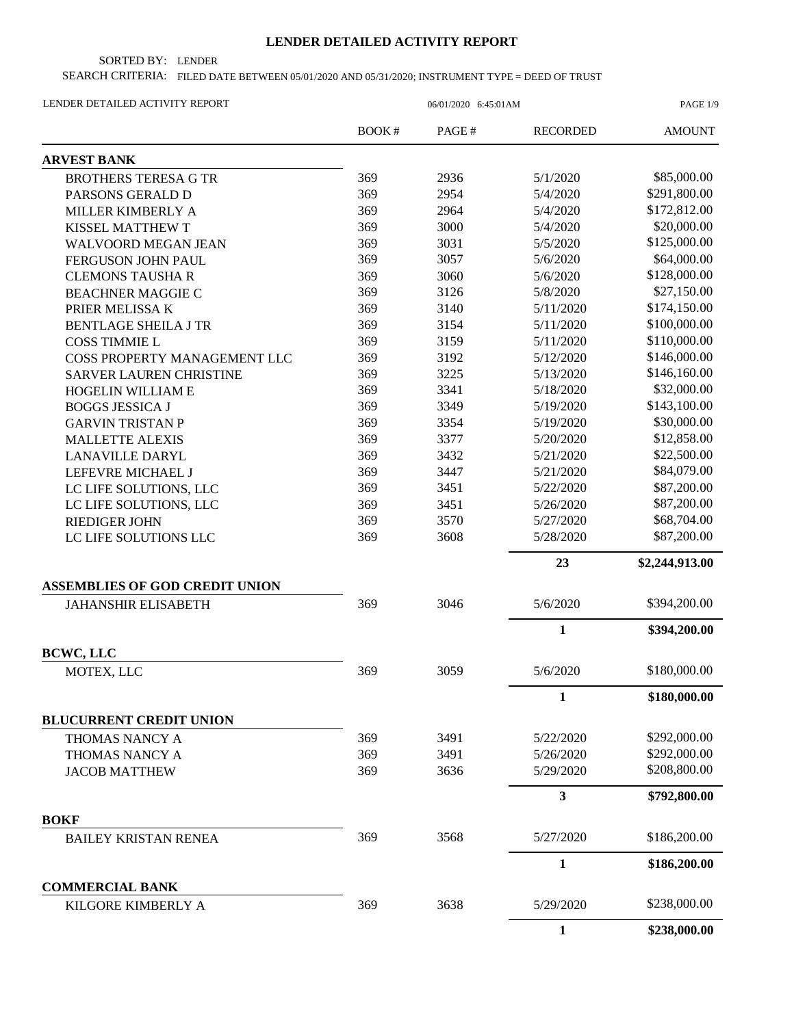## **LENDER DETAILED ACTIVITY REPORT**

SORTED BY: LENDER

SEARCH CRITERIA: FILED DATE BETWEEN 05/01/2020 AND 05/31/2020; INSTRUMENT TYPE = DEED OF TRUST

| LENDER DETAILED ACTIVITY REPORT              | 06/01/2020 6:45:01AM |       |                 | PAGE 1/9       |
|----------------------------------------------|----------------------|-------|-----------------|----------------|
|                                              | BOOK#                | PAGE# | <b>RECORDED</b> | <b>AMOUNT</b>  |
| <b>ARVEST BANK</b>                           |                      |       |                 |                |
| <b>BROTHERS TERESA G TR</b>                  | 369                  | 2936  | 5/1/2020        | \$85,000.00    |
| PARSONS GERALD D                             | 369                  | 2954  | 5/4/2020        | \$291,800.00   |
| MILLER KIMBERLY A                            | 369                  | 2964  | 5/4/2020        | \$172,812.00   |
| KISSEL MATTHEW T                             | 369                  | 3000  | 5/4/2020        | \$20,000.00    |
| WALVOORD MEGAN JEAN                          | 369                  | 3031  | 5/5/2020        | \$125,000.00   |
| FERGUSON JOHN PAUL                           | 369                  | 3057  | 5/6/2020        | \$64,000.00    |
| <b>CLEMONS TAUSHAR</b>                       | 369                  | 3060  | 5/6/2020        | \$128,000.00   |
| <b>BEACHNER MAGGIE C</b>                     | 369                  | 3126  | 5/8/2020        | \$27,150.00    |
| PRIER MELISSA K                              | 369                  | 3140  | 5/11/2020       | \$174,150.00   |
| <b>BENTLAGE SHEILA J TR</b>                  | 369                  | 3154  | 5/11/2020       | \$100,000.00   |
| <b>COSS TIMMIE L</b>                         | 369                  | 3159  | 5/11/2020       | \$110,000.00   |
| COSS PROPERTY MANAGEMENT LLC                 | 369                  | 3192  | 5/12/2020       | \$146,000.00   |
| <b>SARVER LAUREN CHRISTINE</b>               | 369                  | 3225  | 5/13/2020       | \$146,160.00   |
| HOGELIN WILLIAM E                            | 369                  | 3341  | 5/18/2020       | \$32,000.00    |
| <b>BOGGS JESSICA J</b>                       | 369                  | 3349  | 5/19/2020       | \$143,100.00   |
| <b>GARVIN TRISTAN P</b>                      | 369                  | 3354  | 5/19/2020       | \$30,000.00    |
| <b>MALLETTE ALEXIS</b>                       | 369                  | 3377  | 5/20/2020       | \$12,858.00    |
| <b>LANAVILLE DARYL</b>                       | 369                  | 3432  | 5/21/2020       | \$22,500.00    |
| LEFEVRE MICHAEL J                            | 369                  | 3447  | 5/21/2020       | \$84,079.00    |
| LC LIFE SOLUTIONS, LLC                       | 369                  | 3451  | 5/22/2020       | \$87,200.00    |
| LC LIFE SOLUTIONS, LLC                       | 369                  | 3451  | 5/26/2020       | \$87,200.00    |
| <b>RIEDIGER JOHN</b>                         | 369                  | 3570  | 5/27/2020       | \$68,704.00    |
| LC LIFE SOLUTIONS LLC                        | 369                  | 3608  | 5/28/2020       | \$87,200.00    |
|                                              |                      |       | 23              | \$2,244,913.00 |
| <b>ASSEMBLIES OF GOD CREDIT UNION</b>        |                      |       |                 |                |
| <b>JAHANSHIR ELISABETH</b>                   | 369                  | 3046  | 5/6/2020        | \$394,200.00   |
|                                              |                      |       | 1               | \$394,200.00   |
| <b>BCWC, LLC</b>                             |                      | 3059  |                 | \$180,000.00   |
| MOTEX, LLC                                   | 369                  |       | 5/6/2020        |                |
|                                              |                      |       | $\mathbf{1}$    | \$180,000.00   |
| <b>BLUCURRENT CREDIT UNION</b>               |                      |       |                 |                |
| THOMAS NANCY A                               | 369                  | 3491  | 5/22/2020       | \$292,000.00   |
| THOMAS NANCY A                               | 369                  | 3491  | 5/26/2020       | \$292,000.00   |
| <b>JACOB MATTHEW</b>                         | 369                  | 3636  | 5/29/2020       | \$208,800.00   |
|                                              |                      |       | 3               | \$792,800.00   |
| <b>BOKF</b>                                  | 369                  | 3568  | 5/27/2020       | \$186,200.00   |
| <b>BAILEY KRISTAN RENEA</b>                  |                      |       |                 |                |
|                                              |                      |       | 1               | \$186,200.00   |
| <b>COMMERCIAL BANK</b><br>KILGORE KIMBERLY A | 369                  | 3638  | 5/29/2020       | \$238,000.00   |
|                                              |                      |       | 1               | \$238,000.00   |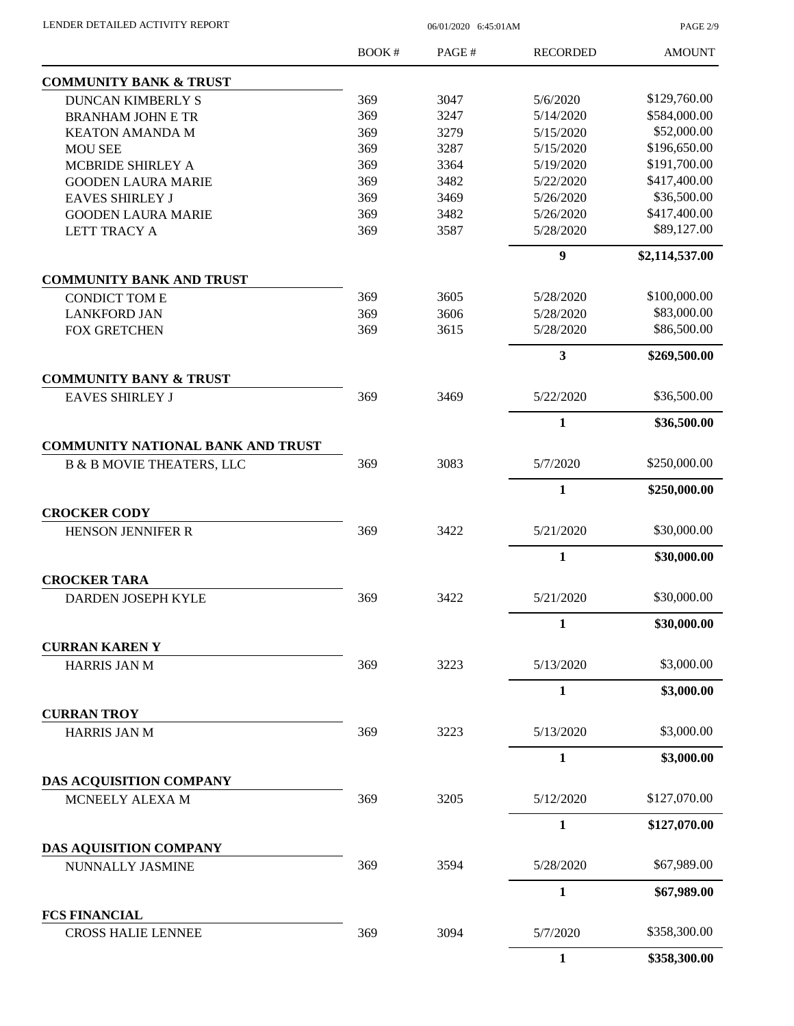| LENDER DETAILED ACTIVITY REPORT |  |
|---------------------------------|--|
|                                 |  |

06/01/2020 6:45:01AM

PAGE 2/9

|                                                   | BOOK# | PAGE# | <b>RECORDED</b>  | <b>AMOUNT</b>  |
|---------------------------------------------------|-------|-------|------------------|----------------|
| <b>COMMUNITY BANK &amp; TRUST</b>                 |       |       |                  |                |
| <b>DUNCAN KIMBERLY S</b>                          | 369   | 3047  | 5/6/2020         | \$129,760.00   |
| <b>BRANHAM JOHN E TR</b>                          | 369   | 3247  | 5/14/2020        | \$584,000.00   |
| <b>KEATON AMANDA M</b>                            | 369   | 3279  | 5/15/2020        | \$52,000.00    |
| <b>MOU SEE</b>                                    | 369   | 3287  | 5/15/2020        | \$196,650.00   |
| MCBRIDE SHIRLEY A                                 | 369   | 3364  | 5/19/2020        | \$191,700.00   |
| <b>GOODEN LAURA MARIE</b>                         | 369   | 3482  | 5/22/2020        | \$417,400.00   |
| <b>EAVES SHIRLEY J</b>                            | 369   | 3469  | 5/26/2020        | \$36,500.00    |
| <b>GOODEN LAURA MARIE</b>                         | 369   | 3482  | 5/26/2020        | \$417,400.00   |
| LETT TRACY A                                      | 369   | 3587  | 5/28/2020        | \$89,127.00    |
|                                                   |       |       | $\boldsymbol{9}$ | \$2,114,537.00 |
| <b>COMMUNITY BANK AND TRUST</b>                   |       |       |                  |                |
| <b>CONDICT TOM E</b>                              | 369   | 3605  | 5/28/2020        | \$100,000.00   |
| <b>LANKFORD JAN</b>                               | 369   | 3606  | 5/28/2020        | \$83,000.00    |
| <b>FOX GRETCHEN</b>                               | 369   | 3615  | 5/28/2020        | \$86,500.00    |
|                                                   |       |       | 3                | \$269,500.00   |
| <b>COMMUNITY BANY &amp; TRUST</b>                 |       |       |                  |                |
| <b>EAVES SHIRLEY J</b>                            | 369   | 3469  | 5/22/2020        | \$36,500.00    |
|                                                   |       |       | $\mathbf{1}$     | \$36,500.00    |
| <b>COMMUNITY NATIONAL BANK AND TRUST</b>          |       |       |                  |                |
| <b>B &amp; B MOVIE THEATERS, LLC</b>              | 369   | 3083  | 5/7/2020         | \$250,000.00   |
|                                                   |       |       | $\mathbf{1}$     | \$250,000.00   |
| <b>CROCKER CODY</b>                               | 369   | 3422  | 5/21/2020        | \$30,000.00    |
| <b>HENSON JENNIFER R</b>                          |       |       |                  |                |
|                                                   |       |       | $\mathbf{1}$     | \$30,000.00    |
| <b>CROCKER TARA</b>                               |       |       |                  |                |
| <b>DARDEN JOSEPH KYLE</b>                         | 369   | 3422  | 5/21/2020        | \$30,000.00    |
|                                                   |       |       | $\mathbf{1}$     | \$30,000.00    |
| <b>CURRAN KAREN Y</b>                             |       |       |                  |                |
| <b>HARRIS JAN M</b>                               | 369   | 3223  | 5/13/2020        | \$3,000.00     |
|                                                   |       |       | 1                | \$3,000.00     |
| <b>CURRAN TROY</b><br><b>HARRIS JAN M</b>         | 369   | 3223  | 5/13/2020        | \$3,000.00     |
|                                                   |       |       |                  |                |
|                                                   |       |       | $\mathbf{1}$     | \$3,000.00     |
| DAS ACQUISITION COMPANY                           |       |       |                  |                |
| MCNEELY ALEXA M                                   | 369   | 3205  | 5/12/2020        | \$127,070.00   |
|                                                   |       |       | $\mathbf{1}$     | \$127,070.00   |
| DAS AQUISITION COMPANY                            | 369   | 3594  | 5/28/2020        | \$67,989.00    |
| NUNNALLY JASMINE                                  |       |       |                  |                |
|                                                   |       |       | 1                | \$67,989.00    |
| <b>FCS FINANCIAL</b><br><b>CROSS HALIE LENNEE</b> | 369   | 3094  | 5/7/2020         | \$358,300.00   |
|                                                   |       |       | $\mathbf{1}$     |                |
|                                                   |       |       |                  | \$358,300.00   |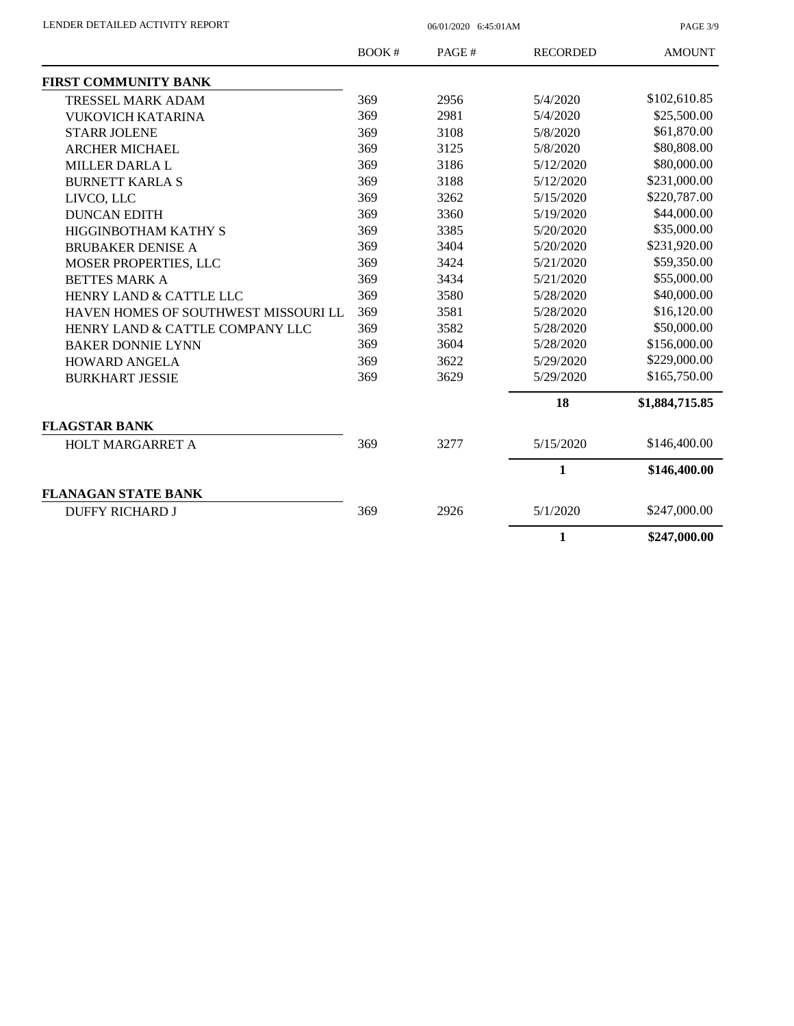PAGE 3/9

|                                      | <b>BOOK#</b> | PAGE# | <b>RECORDED</b> | <b>AMOUNT</b>  |
|--------------------------------------|--------------|-------|-----------------|----------------|
| <b>FIRST COMMUNITY BANK</b>          |              |       |                 |                |
| <b>TRESSEL MARK ADAM</b>             | 369          | 2956  | 5/4/2020        | \$102,610.85   |
| <b>VUKOVICH KATARINA</b>             | 369          | 2981  | 5/4/2020        | \$25,500.00    |
| <b>STARR JOLENE</b>                  | 369          | 3108  | 5/8/2020        | \$61,870.00    |
| <b>ARCHER MICHAEL</b>                | 369          | 3125  | 5/8/2020        | \$80,808.00    |
| <b>MILLER DARLA L</b>                | 369          | 3186  | 5/12/2020       | \$80,000.00    |
| <b>BURNETT KARLA S</b>               | 369          | 3188  | 5/12/2020       | \$231,000.00   |
| LIVCO, LLC                           | 369          | 3262  | 5/15/2020       | \$220,787.00   |
| <b>DUNCAN EDITH</b>                  | 369          | 3360  | 5/19/2020       | \$44,000.00    |
| HIGGINBOTHAM KATHY S                 | 369          | 3385  | 5/20/2020       | \$35,000.00    |
| <b>BRUBAKER DENISE A</b>             | 369          | 3404  | 5/20/2020       | \$231,920.00   |
| MOSER PROPERTIES, LLC                | 369          | 3424  | 5/21/2020       | \$59,350.00    |
| <b>BETTES MARK A</b>                 | 369          | 3434  | 5/21/2020       | \$55,000.00    |
| HENRY LAND & CATTLE LLC              | 369          | 3580  | 5/28/2020       | \$40,000.00    |
| HAVEN HOMES OF SOUTHWEST MISSOURI LL | 369          | 3581  | 5/28/2020       | \$16,120.00    |
| HENRY LAND & CATTLE COMPANY LLC      | 369          | 3582  | 5/28/2020       | \$50,000.00    |
| <b>BAKER DONNIE LYNN</b>             | 369          | 3604  | 5/28/2020       | \$156,000.00   |
| <b>HOWARD ANGELA</b>                 | 369          | 3622  | 5/29/2020       | \$229,000.00   |
| <b>BURKHART JESSIE</b>               | 369          | 3629  | 5/29/2020       | \$165,750.00   |
|                                      |              |       | 18              | \$1,884,715.85 |
| <b>FLAGSTAR BANK</b>                 |              |       |                 |                |
| <b>HOLT MARGARRET A</b>              | 369          | 3277  | 5/15/2020       | \$146,400.00   |
|                                      |              |       | 1               | \$146,400.00   |
| <b>FLANAGAN STATE BANK</b>           |              |       |                 |                |
| <b>DUFFY RICHARD J</b>               | 369          | 2926  | 5/1/2020        | \$247,000.00   |
|                                      |              |       | 1               | \$247,000.00   |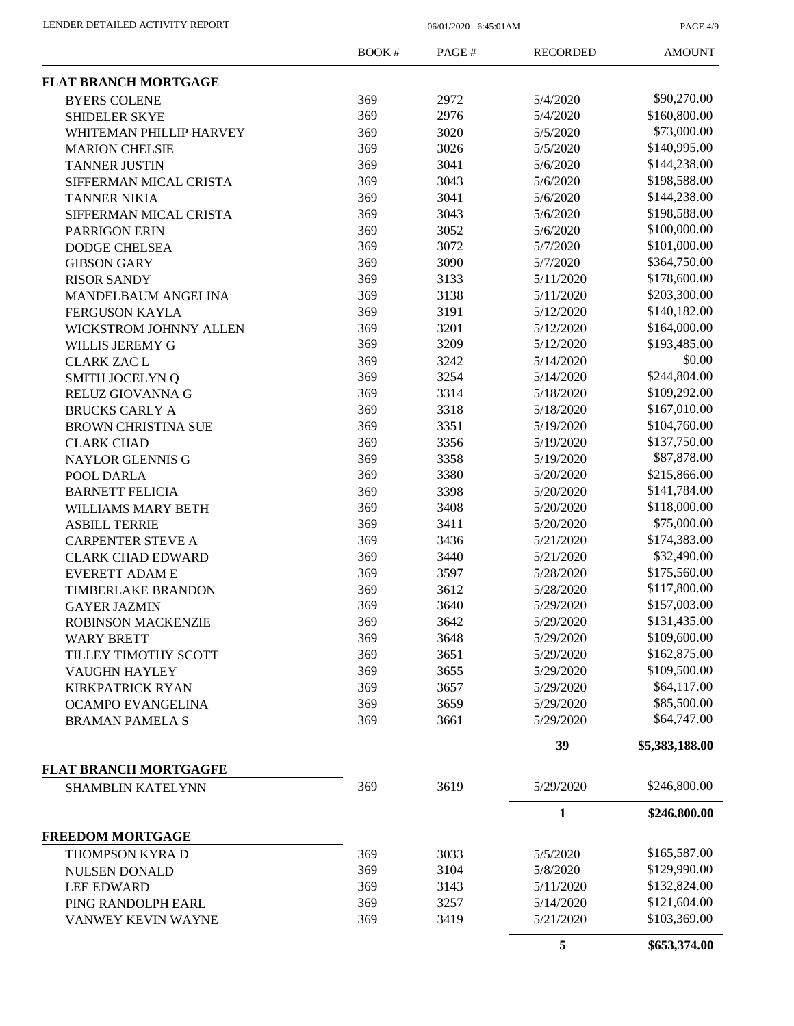PAGE 4/9

|                              | <b>BOOK#</b> | PAGE# | <b>RECORDED</b> | <b>AMOUNT</b>  |
|------------------------------|--------------|-------|-----------------|----------------|
| <b>FLAT BRANCH MORTGAGE</b>  |              |       |                 |                |
| <b>BYERS COLENE</b>          | 369          | 2972  | 5/4/2020        | \$90,270.00    |
| <b>SHIDELER SKYE</b>         | 369          | 2976  | 5/4/2020        | \$160,800.00   |
| WHITEMAN PHILLIP HARVEY      | 369          | 3020  | 5/5/2020        | \$73,000.00    |
| <b>MARION CHELSIE</b>        | 369          | 3026  | 5/5/2020        | \$140,995.00   |
| <b>TANNER JUSTIN</b>         | 369          | 3041  | 5/6/2020        | \$144,238.00   |
| SIFFERMAN MICAL CRISTA       | 369          | 3043  | 5/6/2020        | \$198,588.00   |
| <b>TANNER NIKIA</b>          | 369          | 3041  | 5/6/2020        | \$144,238.00   |
| SIFFERMAN MICAL CRISTA       | 369          | 3043  | 5/6/2020        | \$198,588.00   |
| <b>PARRIGON ERIN</b>         | 369          | 3052  | 5/6/2020        | \$100,000.00   |
| <b>DODGE CHELSEA</b>         | 369          | 3072  | 5/7/2020        | \$101,000.00   |
| <b>GIBSON GARY</b>           | 369          | 3090  | 5/7/2020        | \$364,750.00   |
|                              | 369          | 3133  | 5/11/2020       | \$178,600.00   |
| <b>RISOR SANDY</b>           | 369          | 3138  | 5/11/2020       | \$203,300.00   |
| MANDELBAUM ANGELINA          | 369          | 3191  | 5/12/2020       | \$140,182.00   |
| <b>FERGUSON KAYLA</b>        | 369          |       |                 | \$164,000.00   |
| WICKSTROM JOHNNY ALLEN       |              | 3201  | 5/12/2020       |                |
| <b>WILLIS JEREMY G</b>       | 369          | 3209  | 5/12/2020       | \$193,485.00   |
| <b>CLARK ZAC L</b>           | 369          | 3242  | 5/14/2020       | \$0.00         |
| <b>SMITH JOCELYN Q</b>       | 369          | 3254  | 5/14/2020       | \$244,804.00   |
| RELUZ GIOVANNA G             | 369          | 3314  | 5/18/2020       | \$109,292.00   |
| <b>BRUCKS CARLY A</b>        | 369          | 3318  | 5/18/2020       | \$167,010.00   |
| <b>BROWN CHRISTINA SUE</b>   | 369          | 3351  | 5/19/2020       | \$104,760.00   |
| <b>CLARK CHAD</b>            | 369          | 3356  | 5/19/2020       | \$137,750.00   |
| NAYLOR GLENNIS G             | 369          | 3358  | 5/19/2020       | \$87,878.00    |
| POOL DARLA                   | 369          | 3380  | 5/20/2020       | \$215,866.00   |
| <b>BARNETT FELICIA</b>       | 369          | 3398  | 5/20/2020       | \$141,784.00   |
| WILLIAMS MARY BETH           | 369          | 3408  | 5/20/2020       | \$118,000.00   |
| <b>ASBILL TERRIE</b>         | 369          | 3411  | 5/20/2020       | \$75,000.00    |
| <b>CARPENTER STEVE A</b>     | 369          | 3436  | 5/21/2020       | \$174,383.00   |
| <b>CLARK CHAD EDWARD</b>     | 369          | 3440  | 5/21/2020       | \$32,490.00    |
| <b>EVERETT ADAM E</b>        | 369          | 3597  | 5/28/2020       | \$175,560.00   |
| <b>TIMBERLAKE BRANDON</b>    | 369          | 3612  | 5/28/2020       | \$117,800.00   |
| <b>GAYER JAZMIN</b>          | 369          | 3640  | 5/29/2020       | \$157,003.00   |
| ROBINSON MACKENZIE           | 369          | 3642  | 5/29/2020       | \$131,435.00   |
| <b>WARY BRETT</b>            | 369          | 3648  | 5/29/2020       | \$109,600.00   |
| TILLEY TIMOTHY SCOTT         | 369          | 3651  | 5/29/2020       | \$162,875.00   |
| <b>VAUGHN HAYLEY</b>         | 369          | 3655  | 5/29/2020       | \$109,500.00   |
| <b>KIRKPATRICK RYAN</b>      | 369          | 3657  | 5/29/2020       | \$64,117.00    |
| OCAMPO EVANGELINA            | 369          | 3659  | 5/29/2020       | \$85,500.00    |
| <b>BRAMAN PAMELA S</b>       | 369          | 3661  | 5/29/2020       | \$64,747.00    |
|                              |              |       | 39              | \$5,383,188.00 |
| <b>FLAT BRANCH MORTGAGFE</b> |              |       |                 |                |
| <b>SHAMBLIN KATELYNN</b>     | 369          | 3619  | 5/29/2020       | \$246,800.00   |
|                              |              |       | $\mathbf{1}$    | \$246,800.00   |
| <b>FREEDOM MORTGAGE</b>      |              |       |                 |                |
| THOMPSON KYRA D              | 369          | 3033  | 5/5/2020        | \$165,587.00   |
| <b>NULSEN DONALD</b>         | 369          | 3104  | 5/8/2020        | \$129,990.00   |
| <b>LEE EDWARD</b>            | 369          | 3143  | 5/11/2020       | \$132,824.00   |
| PING RANDOLPH EARL           | 369          | 3257  | 5/14/2020       | \$121,604.00   |
| VANWEY KEVIN WAYNE           | 369          | 3419  | 5/21/2020       | \$103,369.00   |
|                              |              |       | 5               | \$653,374.00   |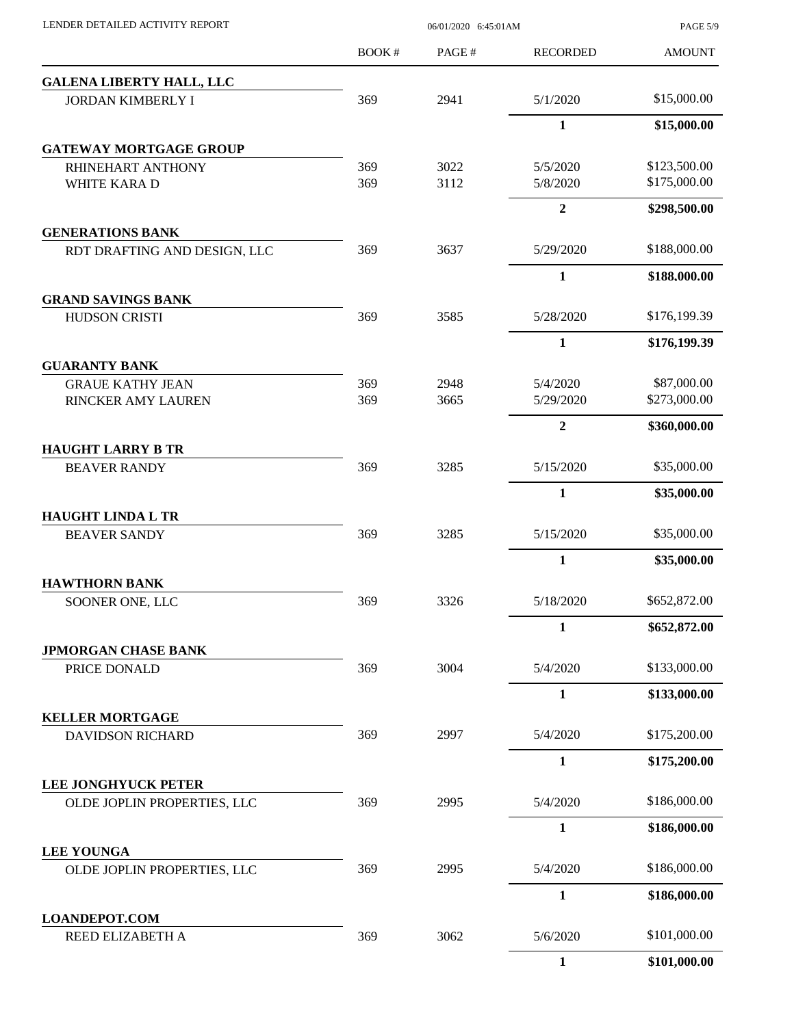| LENDER DETAILED ACTIVITY REPORT            | 06/01/2020 6:45:01AM |       |                 | <b>PAGE 5/9</b> |
|--------------------------------------------|----------------------|-------|-----------------|-----------------|
|                                            | BOOK#                | PAGE# | <b>RECORDED</b> | <b>AMOUNT</b>   |
| <b>GALENA LIBERTY HALL, LLC</b>            |                      |       |                 |                 |
| <b>JORDAN KIMBERLY I</b>                   | 369                  | 2941  | 5/1/2020        | \$15,000.00     |
|                                            |                      |       | $\mathbf{1}$    | \$15,000.00     |
| <b>GATEWAY MORTGAGE GROUP</b>              |                      |       |                 |                 |
| RHINEHART ANTHONY                          | 369                  | 3022  | 5/5/2020        | \$123,500.00    |
| WHITE KARA D                               | 369                  | 3112  | 5/8/2020        | \$175,000.00    |
| <b>GENERATIONS BANK</b>                    |                      |       | $\overline{2}$  | \$298,500.00    |
| RDT DRAFTING AND DESIGN, LLC               | 369                  | 3637  | 5/29/2020       | \$188,000.00    |
|                                            |                      |       | 1               | \$188,000.00    |
| <b>GRAND SAVINGS BANK</b>                  |                      |       |                 |                 |
| <b>HUDSON CRISTI</b>                       | 369                  | 3585  | 5/28/2020       | \$176,199.39    |
|                                            |                      |       | $\mathbf{1}$    | \$176,199.39    |
| <b>GUARANTY BANK</b>                       |                      |       |                 |                 |
| <b>GRAUE KATHY JEAN</b>                    | 369                  | 2948  | 5/4/2020        | \$87,000.00     |
| RINCKER AMY LAUREN                         | 369                  | 3665  | 5/29/2020       | \$273,000.00    |
| <b>HAUGHT LARRY B TR</b>                   |                      |       | $\overline{2}$  | \$360,000.00    |
| <b>BEAVER RANDY</b>                        | 369                  | 3285  | 5/15/2020       | \$35,000.00     |
|                                            |                      |       | 1               | \$35,000.00     |
| <b>HAUGHT LINDA L TR</b>                   |                      |       |                 |                 |
| <b>BEAVER SANDY</b>                        | 369                  | 3285  | 5/15/2020       | \$35,000.00     |
|                                            |                      |       | $\mathbf{1}$    | \$35,000.00     |
| <b>HAWTHORN BANK</b>                       |                      |       |                 |                 |
| SOONER ONE, LLC                            | 369                  | 3326  | 5/18/2020       | \$652,872.00    |
|                                            |                      |       | 1               | \$652,872.00    |
| <b>JPMORGAN CHASE BANK</b><br>PRICE DONALD | 369                  | 3004  | 5/4/2020        | \$133,000.00    |
|                                            |                      |       | $\mathbf{1}$    | \$133,000.00    |
| <b>KELLER MORTGAGE</b>                     |                      |       |                 |                 |
| <b>DAVIDSON RICHARD</b>                    | 369                  | 2997  | 5/4/2020        | \$175,200.00    |
|                                            |                      |       | $\mathbf{1}$    | \$175,200.00    |
| <b>LEE JONGHYUCK PETER</b>                 |                      |       |                 |                 |
| OLDE JOPLIN PROPERTIES, LLC                | 369                  | 2995  | 5/4/2020        | \$186,000.00    |
|                                            |                      |       | 1               | \$186,000.00    |
| <b>LEE YOUNGA</b>                          |                      |       |                 |                 |
| OLDE JOPLIN PROPERTIES, LLC                | 369                  | 2995  | 5/4/2020        | \$186,000.00    |
|                                            |                      |       | $\mathbf{1}$    | \$186,000.00    |
| <b>LOANDEPOT.COM</b><br>REED ELIZABETH A   | 369                  | 3062  | 5/6/2020        | \$101,000.00    |
|                                            |                      |       |                 |                 |
|                                            |                      |       | $\mathbf{1}$    | \$101,000.00    |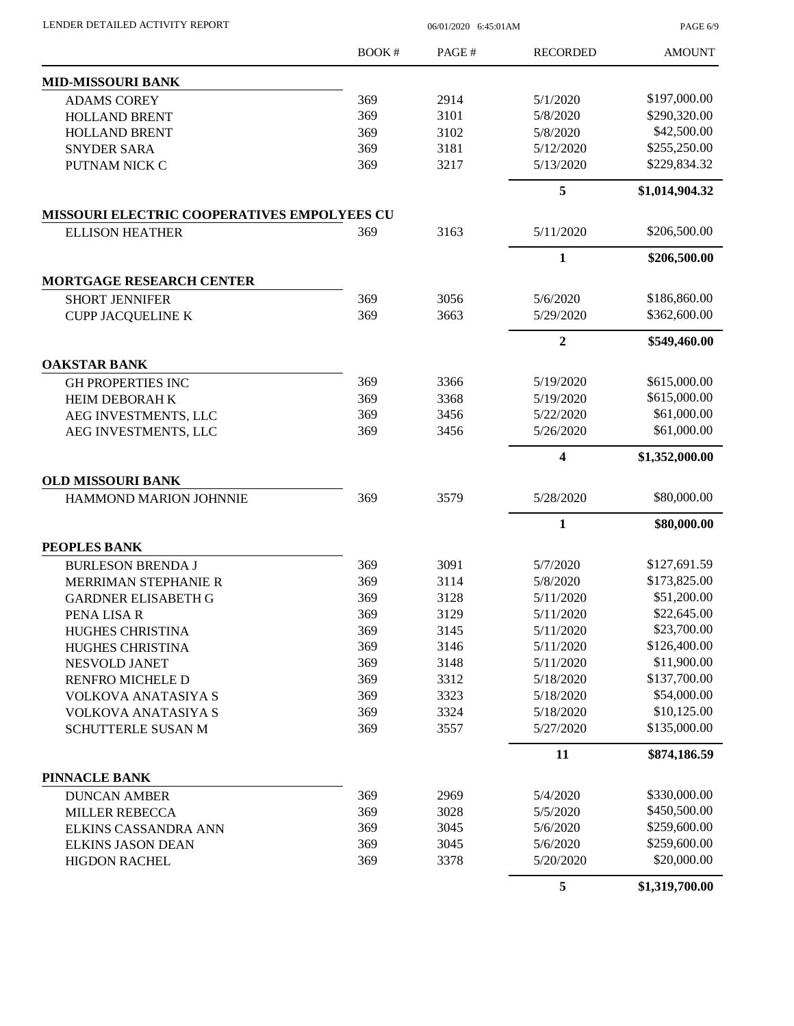LENDER DETAILED ACTIVITY REPORT 06/01/2020 6:45:01AM

PAGE 6/9

|                                                    | <b>BOOK#</b> | PAGE# | <b>RECORDED</b> | <b>AMOUNT</b>  |
|----------------------------------------------------|--------------|-------|-----------------|----------------|
| <b>MID-MISSOURI BANK</b>                           |              |       |                 |                |
| <b>ADAMS COREY</b>                                 | 369          | 2914  | 5/1/2020        | \$197,000.00   |
| <b>HOLLAND BRENT</b>                               | 369          | 3101  | 5/8/2020        | \$290,320.00   |
| <b>HOLLAND BRENT</b>                               | 369          | 3102  | 5/8/2020        | \$42,500.00    |
| <b>SNYDER SARA</b>                                 | 369          | 3181  | 5/12/2020       | \$255,250.00   |
| PUTNAM NICK C                                      | 369          | 3217  | 5/13/2020       | \$229,834.32   |
|                                                    |              |       | 5               | \$1,014,904.32 |
| <b>MISSOURI ELECTRIC COOPERATIVES EMPOLYEES CU</b> |              |       |                 |                |
| <b>ELLISON HEATHER</b>                             | 369          | 3163  | 5/11/2020       | \$206,500.00   |
|                                                    |              |       | $\mathbf{1}$    | \$206,500.00   |
| <b>MORTGAGE RESEARCH CENTER</b>                    |              |       |                 |                |
| <b>SHORT JENNIFER</b>                              | 369          | 3056  | 5/6/2020        | \$186,860.00   |
| <b>CUPP JACQUELINE K</b>                           | 369          | 3663  | 5/29/2020       | \$362,600.00   |
|                                                    |              |       | $\overline{2}$  | \$549,460.00   |
| <b>OAKSTAR BANK</b>                                |              |       |                 |                |
| <b>GH PROPERTIES INC</b>                           | 369          | 3366  | 5/19/2020       | \$615,000.00   |
| HEIM DEBORAH K                                     | 369          | 3368  | 5/19/2020       | \$615,000.00   |
| AEG INVESTMENTS, LLC                               | 369          | 3456  | 5/22/2020       | \$61,000.00    |
| AEG INVESTMENTS, LLC                               | 369          | 3456  | 5/26/2020       | \$61,000.00    |
|                                                    |              |       | 4               | \$1,352,000.00 |
| <b>OLD MISSOURI BANK</b>                           |              |       |                 |                |
| HAMMOND MARION JOHNNIE                             | 369          | 3579  | 5/28/2020       | \$80,000.00    |
|                                                    |              |       | 1               | \$80,000.00    |
| PEOPLES BANK                                       |              |       |                 |                |
| <b>BURLESON BRENDA J</b>                           | 369          | 3091  | 5/7/2020        | \$127,691.59   |
| MERRIMAN STEPHANIE R                               | 369          | 3114  | 5/8/2020        | \$173,825.00   |
| <b>GARDNER ELISABETH G</b>                         | 369          | 3128  | 5/11/2020       | \$51,200.00    |
| PENA LISA R                                        | 369          | 3129  | 5/11/2020       | \$22,645.00    |
| HUGHES CHRISTINA                                   | 369          | 3145  | 5/11/2020       | \$23,700.00    |
| HUGHES CHRISTINA                                   | 369          | 3146  | 5/11/2020       | \$126,400.00   |
| NESVOLD JANET                                      | 369          | 3148  | 5/11/2020       | \$11,900.00    |
| RENFRO MICHELE D                                   | 369          | 3312  | 5/18/2020       | \$137,700.00   |
| VOLKOVA ANATASIYA S                                | 369          | 3323  | 5/18/2020       | \$54,000.00    |
| <b>VOLKOVA ANATASIYA S</b>                         | 369          | 3324  | 5/18/2020       | \$10,125.00    |
| SCHUTTERLE SUSAN M                                 | 369          | 3557  | 5/27/2020       | \$135,000.00   |
|                                                    |              |       | 11              | \$874,186.59   |
| PINNACLE BANK                                      |              |       |                 |                |
| <b>DUNCAN AMBER</b>                                | 369          | 2969  | 5/4/2020        | \$330,000.00   |
| <b>MILLER REBECCA</b>                              | 369          | 3028  | 5/5/2020        | \$450,500.00   |
| ELKINS CASSANDRA ANN                               | 369          | 3045  | 5/6/2020        | \$259,600.00   |
| <b>ELKINS JASON DEAN</b>                           | 369          | 3045  | 5/6/2020        | \$259,600.00   |
| <b>HIGDON RACHEL</b>                               | 369          | 3378  | 5/20/2020       | \$20,000.00    |
|                                                    |              |       | 5               | \$1,319,700.00 |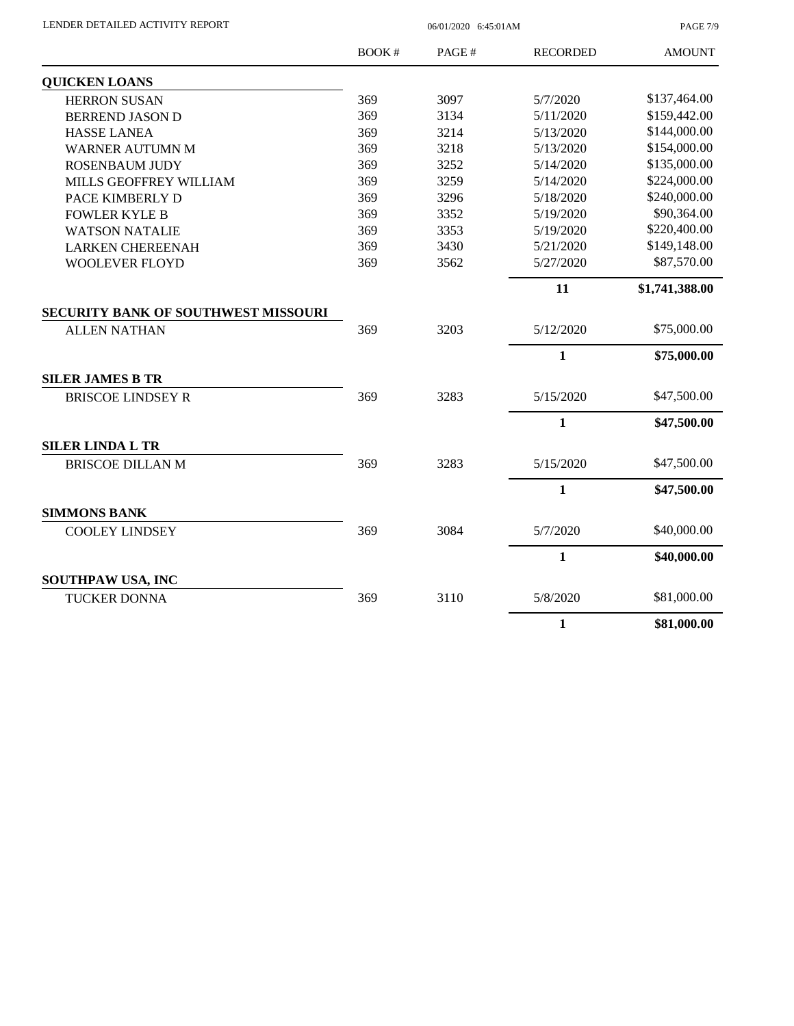| LENDER DETAILED ACTIVITY REPORT |  |
|---------------------------------|--|
|                                 |  |

 $06/01/2020$  6:45:01AM

PAGE 7/9

|                                            | BOOK# | PAGE# | <b>RECORDED</b> | <b>AMOUNT</b>  |
|--------------------------------------------|-------|-------|-----------------|----------------|
| <b>QUICKEN LOANS</b>                       |       |       |                 |                |
| <b>HERRON SUSAN</b>                        | 369   | 3097  | 5/7/2020        | \$137,464.00   |
| <b>BERREND JASON D</b>                     | 369   | 3134  | 5/11/2020       | \$159,442.00   |
| <b>HASSE LANEA</b>                         | 369   | 3214  | 5/13/2020       | \$144,000.00   |
| <b>WARNER AUTUMN M</b>                     | 369   | 3218  | 5/13/2020       | \$154,000.00   |
| ROSENBAUM JUDY                             | 369   | 3252  | 5/14/2020       | \$135,000.00   |
| MILLS GEOFFREY WILLIAM                     | 369   | 3259  | 5/14/2020       | \$224,000.00   |
| PACE KIMBERLY D                            | 369   | 3296  | 5/18/2020       | \$240,000.00   |
| <b>FOWLER KYLE B</b>                       | 369   | 3352  | 5/19/2020       | \$90,364.00    |
| <b>WATSON NATALIE</b>                      | 369   | 3353  | 5/19/2020       | \$220,400.00   |
| <b>LARKEN CHEREENAH</b>                    | 369   | 3430  | 5/21/2020       | \$149,148.00   |
| <b>WOOLEVER FLOYD</b>                      | 369   | 3562  | 5/27/2020       | \$87,570.00    |
|                                            |       |       | 11              | \$1,741,388.00 |
| <b>SECURITY BANK OF SOUTHWEST MISSOURI</b> |       |       |                 |                |
| <b>ALLEN NATHAN</b>                        | 369   | 3203  | 5/12/2020       | \$75,000.00    |
|                                            |       |       | $\mathbf{1}$    | \$75,000.00    |
| <b>SILER JAMES B TR</b>                    |       |       |                 |                |
| <b>BRISCOE LINDSEY R</b>                   | 369   | 3283  | 5/15/2020       | \$47,500.00    |
|                                            |       |       | $\mathbf{1}$    | \$47,500.00    |
| <b>SILER LINDA L TR</b>                    |       |       |                 |                |
| <b>BRISCOE DILLAN M</b>                    | 369   | 3283  | 5/15/2020       | \$47,500.00    |
|                                            |       |       | $\mathbf{1}$    | \$47,500.00    |
| <b>SIMMONS BANK</b>                        |       |       |                 |                |
| <b>COOLEY LINDSEY</b>                      | 369   | 3084  | 5/7/2020        | \$40,000.00    |
|                                            |       |       | $\mathbf{1}$    | \$40,000.00    |
| SOUTHPAW USA, INC                          |       |       |                 |                |
| <b>TUCKER DONNA</b>                        | 369   | 3110  | 5/8/2020        | \$81,000.00    |
|                                            |       |       | $\mathbf{1}$    | \$81,000.00    |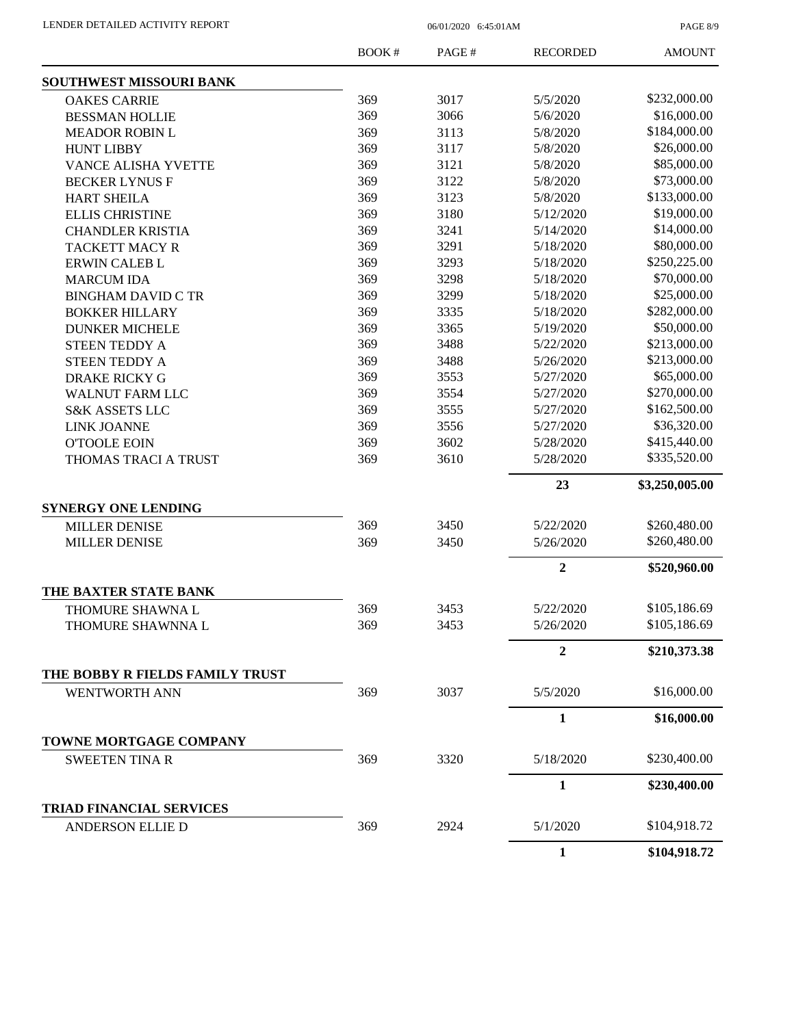PAGE 8/9

|                                 | BOOK# | PAGE# | <b>RECORDED</b> | <b>AMOUNT</b>  |
|---------------------------------|-------|-------|-----------------|----------------|
| <b>SOUTHWEST MISSOURI BANK</b>  |       |       |                 |                |
| <b>OAKES CARRIE</b>             | 369   | 3017  | 5/5/2020        | \$232,000.00   |
| <b>BESSMAN HOLLIE</b>           | 369   | 3066  | 5/6/2020        | \$16,000.00    |
| <b>MEADOR ROBIN L</b>           | 369   | 3113  | 5/8/2020        | \$184,000.00   |
| <b>HUNT LIBBY</b>               | 369   | 3117  | 5/8/2020        | \$26,000.00    |
| VANCE ALISHA YVETTE             | 369   | 3121  | 5/8/2020        | \$85,000.00    |
| <b>BECKER LYNUS F</b>           | 369   | 3122  | 5/8/2020        | \$73,000.00    |
| <b>HART SHEILA</b>              | 369   | 3123  | 5/8/2020        | \$133,000.00   |
| <b>ELLIS CHRISTINE</b>          | 369   | 3180  | 5/12/2020       | \$19,000.00    |
| <b>CHANDLER KRISTIA</b>         | 369   | 3241  | 5/14/2020       | \$14,000.00    |
| <b>TACKETT MACY R</b>           | 369   | 3291  | 5/18/2020       | \$80,000.00    |
| <b>ERWIN CALEB L</b>            | 369   | 3293  | 5/18/2020       | \$250,225.00   |
| <b>MARCUM IDA</b>               | 369   | 3298  | 5/18/2020       | \$70,000.00    |
| <b>BINGHAM DAVID C TR</b>       | 369   | 3299  | 5/18/2020       | \$25,000.00    |
| <b>BOKKER HILLARY</b>           | 369   | 3335  | 5/18/2020       | \$282,000.00   |
| <b>DUNKER MICHELE</b>           | 369   | 3365  | 5/19/2020       | \$50,000.00    |
| <b>STEEN TEDDY A</b>            | 369   | 3488  | 5/22/2020       | \$213,000.00   |
| <b>STEEN TEDDY A</b>            | 369   | 3488  | 5/26/2020       | \$213,000.00   |
| <b>DRAKE RICKY G</b>            | 369   | 3553  | 5/27/2020       | \$65,000.00    |
| <b>WALNUT FARM LLC</b>          | 369   | 3554  | 5/27/2020       | \$270,000.00   |
| <b>S&amp;K ASSETS LLC</b>       | 369   | 3555  | 5/27/2020       | \$162,500.00   |
| <b>LINK JOANNE</b>              | 369   | 3556  | 5/27/2020       | \$36,320.00    |
| <b>O'TOOLE EOIN</b>             | 369   | 3602  | 5/28/2020       | \$415,440.00   |
| THOMAS TRACI A TRUST            | 369   | 3610  | 5/28/2020       | \$335,520.00   |
|                                 |       |       | 23              | \$3,250,005.00 |
| <b>SYNERGY ONE LENDING</b>      |       |       |                 |                |
| <b>MILLER DENISE</b>            | 369   | 3450  | 5/22/2020       | \$260,480.00   |
| <b>MILLER DENISE</b>            | 369   | 3450  | 5/26/2020       | \$260,480.00   |
|                                 |       |       | $\overline{2}$  | \$520,960.00   |
| THE BAXTER STATE BANK           |       |       |                 |                |
| THOMURE SHAWNA L                | 369   | 3453  | 5/22/2020       | \$105,186.69   |
| THOMURE SHAWNNA L               | 369   | 3453  | 5/26/2020       | \$105,186.69   |
|                                 |       |       | $\mathbf{2}$    | \$210,373.38   |
| THE BOBBY R FIELDS FAMILY TRUST |       |       |                 |                |
| <b>WENTWORTH ANN</b>            | 369   | 3037  | 5/5/2020        | \$16,000.00    |
|                                 |       |       | 1               | \$16,000.00    |
| TOWNE MORTGAGE COMPANY          |       |       |                 |                |
| <b>SWEETEN TINA R</b>           | 369   | 3320  | 5/18/2020       | \$230,400.00   |
|                                 |       |       | $\mathbf{1}$    | \$230,400.00   |
| <b>TRIAD FINANCIAL SERVICES</b> |       |       |                 | \$104,918.72   |
| <b>ANDERSON ELLIE D</b>         | 369   | 2924  | 5/1/2020        |                |
|                                 |       |       | 1               | \$104,918.72   |